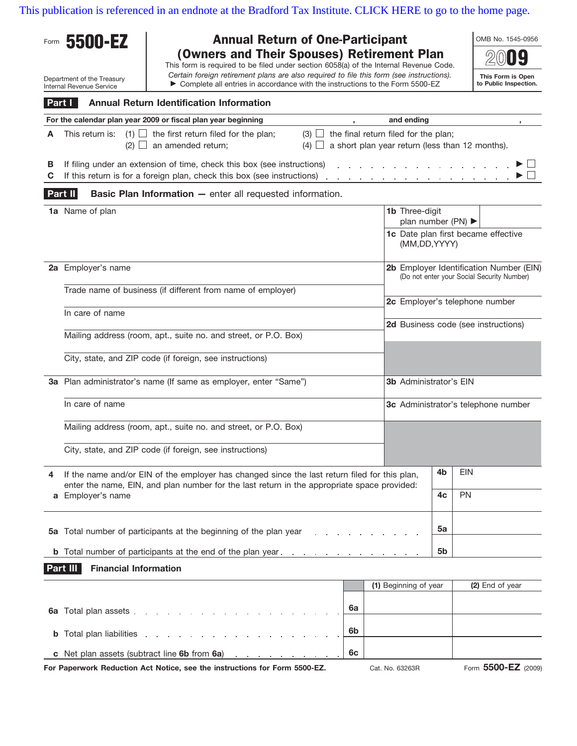[This publication is referenced in an endnote at the Bradford Tax Institute. CLICK HERE to go to the home page.](http://bradfordtaxinstitute.com/index1.aspx)

| <b>Annual Return of One-Participant</b><br>5500-EZ<br>Form<br>(Owners and Their Spouses) Retirement Plan |                                                                                                                                                                                                                     |                                                                                                                                                                                                                                     |  |    |                                                                                       |                                     | OMB No. 1545-0956                   |  |  |  |  |
|----------------------------------------------------------------------------------------------------------|---------------------------------------------------------------------------------------------------------------------------------------------------------------------------------------------------------------------|-------------------------------------------------------------------------------------------------------------------------------------------------------------------------------------------------------------------------------------|--|----|---------------------------------------------------------------------------------------|-------------------------------------|-------------------------------------|--|--|--|--|
|                                                                                                          | Department of the Treasury                                                                                                                                                                                          | This form is required to be filed under section 6058(a) of the Internal Revenue Code.<br>Certain foreign retirement plans are also required to file this form (see instructions).                                                   |  |    |                                                                                       |                                     | This Form is Open                   |  |  |  |  |
|                                                                                                          | Internal Revenue Service                                                                                                                                                                                            | ► Complete all entries in accordance with the instructions to the Form 5500-EZ                                                                                                                                                      |  |    | to Public Inspection.                                                                 |                                     |                                     |  |  |  |  |
| <b>Annual Return Identification Information</b><br>Part I                                                |                                                                                                                                                                                                                     |                                                                                                                                                                                                                                     |  |    |                                                                                       |                                     |                                     |  |  |  |  |
|                                                                                                          | For the calendar plan year 2009 or fiscal plan year beginning                                                                                                                                                       |                                                                                                                                                                                                                                     |  |    |                                                                                       | and ending                          |                                     |  |  |  |  |
| A                                                                                                        | $(1)$   the first return filed for the plan;<br>the final return filed for the plan;<br>This return is:<br>$(3)$ $\Box$<br>$(2)$ $\Box$ an amended return;<br>$(4)$ a short plan year return (less than 12 months). |                                                                                                                                                                                                                                     |  |    |                                                                                       |                                     |                                     |  |  |  |  |
| в<br>С                                                                                                   | If filing under an extension of time, check this box (see instructions)<br>If this return is for a foreign plan, check this box (see instructions)                                                                  |                                                                                                                                                                                                                                     |  |    |                                                                                       |                                     |                                     |  |  |  |  |
| <b>Basic Plan Information - enter all requested information.</b><br>Part II                              |                                                                                                                                                                                                                     |                                                                                                                                                                                                                                     |  |    |                                                                                       |                                     |                                     |  |  |  |  |
|                                                                                                          | 1a Name of plan                                                                                                                                                                                                     |                                                                                                                                                                                                                                     |  |    | 1b Three-digit<br>plan number (PN) $\blacktriangleright$                              |                                     |                                     |  |  |  |  |
|                                                                                                          |                                                                                                                                                                                                                     |                                                                                                                                                                                                                                     |  |    | (MM,DD,YYYY)                                                                          |                                     | 1c Date plan first became effective |  |  |  |  |
|                                                                                                          | 2a Employer's name                                                                                                                                                                                                  |                                                                                                                                                                                                                                     |  |    | 2b Employer Identification Number (EIN)<br>(Do not enter your Social Security Number) |                                     |                                     |  |  |  |  |
|                                                                                                          | Trade name of business (if different from name of employer)                                                                                                                                                         |                                                                                                                                                                                                                                     |  |    | 2c Employer's telephone number                                                        |                                     |                                     |  |  |  |  |
|                                                                                                          | In care of name                                                                                                                                                                                                     |                                                                                                                                                                                                                                     |  |    |                                                                                       |                                     |                                     |  |  |  |  |
|                                                                                                          |                                                                                                                                                                                                                     | Mailing address (room, apt., suite no. and street, or P.O. Box)                                                                                                                                                                     |  |    |                                                                                       | 2d Business code (see instructions) |                                     |  |  |  |  |
|                                                                                                          |                                                                                                                                                                                                                     | City, state, and ZIP code (if foreign, see instructions)                                                                                                                                                                            |  |    |                                                                                       |                                     |                                     |  |  |  |  |
|                                                                                                          | 3a Plan administrator's name (If same as employer, enter "Same")                                                                                                                                                    |                                                                                                                                                                                                                                     |  |    | <b>3b Administrator's EIN</b>                                                         |                                     |                                     |  |  |  |  |
|                                                                                                          | In care of name                                                                                                                                                                                                     |                                                                                                                                                                                                                                     |  |    | 3c Administrator's telephone number                                                   |                                     |                                     |  |  |  |  |
|                                                                                                          | Mailing address (room, apt., suite no. and street, or P.O. Box)                                                                                                                                                     |                                                                                                                                                                                                                                     |  |    |                                                                                       |                                     |                                     |  |  |  |  |
|                                                                                                          |                                                                                                                                                                                                                     | City, state, and ZIP code (if foreign, see instructions)                                                                                                                                                                            |  |    |                                                                                       |                                     |                                     |  |  |  |  |
| 4                                                                                                        | If the name and/or EIN of the employer has changed since the last return filed for this plan,                                                                                                                       |                                                                                                                                                                                                                                     |  |    | 4b                                                                                    | <b>EIN</b>                          |                                     |  |  |  |  |
|                                                                                                          | enter the name, EIN, and plan number for the last return in the appropriate space provided:<br>a Employer's name                                                                                                    |                                                                                                                                                                                                                                     |  |    |                                                                                       | 4c                                  | <b>PN</b>                           |  |  |  |  |
|                                                                                                          |                                                                                                                                                                                                                     | 5a Total number of participants at the beginning of the plan year                                                                                                                                                                   |  |    |                                                                                       | 5a                                  |                                     |  |  |  |  |
|                                                                                                          | <b>b</b> Total number of participants at the end of the plan year                                                                                                                                                   |                                                                                                                                                                                                                                     |  |    |                                                                                       | 5 <sub>b</sub>                      |                                     |  |  |  |  |
|                                                                                                          | Part III<br><b>Financial Information</b>                                                                                                                                                                            |                                                                                                                                                                                                                                     |  |    |                                                                                       |                                     |                                     |  |  |  |  |
|                                                                                                          |                                                                                                                                                                                                                     |                                                                                                                                                                                                                                     |  |    | (1) Beginning of year                                                                 |                                     | (2) End of year                     |  |  |  |  |
|                                                                                                          |                                                                                                                                                                                                                     |                                                                                                                                                                                                                                     |  |    |                                                                                       |                                     |                                     |  |  |  |  |
|                                                                                                          |                                                                                                                                                                                                                     | <b>6a</b> Total plan assets experience and a set of the set of the set of the set of the set of the set of the set of the set of the set of the set of the set of the set of the set of the set of the set of the set of the set of |  | 6a |                                                                                       |                                     |                                     |  |  |  |  |
| b                                                                                                        | Total plan liabilities                                                                                                                                                                                              | the contract of the contract of the contract of the contract of the contract of the contract of the contract of                                                                                                                     |  | 6b |                                                                                       |                                     |                                     |  |  |  |  |
|                                                                                                          |                                                                                                                                                                                                                     | c Net plan assets (subtract line 6b from 6a)                                                                                                                                                                                        |  | 6с |                                                                                       |                                     |                                     |  |  |  |  |

Cat. No. 63263R **For Paperwork Reduction Act Notice, see the instructions for Form 5500-EZ.**

Form **5500-EZ** (2009)